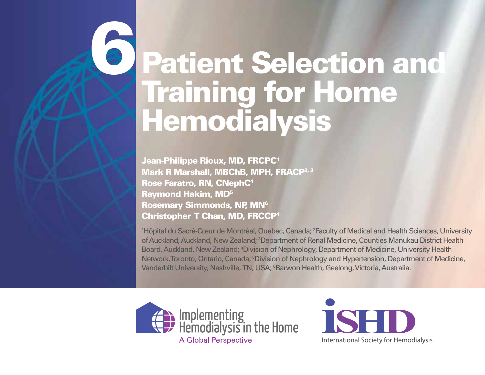# Patient Selection and Training for Home Hemodialysis

Jean-Philippe Rioux, MD, FRCPC1 Mark R Marshall, MBChB, MPH, FRACP2, 3 Rose Faratro, RN, CNephC4 Raymond Hakim, MD5 Rosemary Simmonds, NP, MN6 Christopher T Chan, MD, FRCCP4

6

<sup>1</sup>Hôpital du Sacré-Cœur de Montréal, Quebec, Canada; <sup>2</sup>Faculty of Medical and Health Sciences, University of Auckland, Auckland, New Zealand; <sup>3</sup>Department of Renal Medicine, Counties Manukau District Health Board, Auckland, New Zealand; <sup>4</sup>Division of Nephrology, Department of Medicine, University Health Network, Toronto, Ontario, Canada; <sup>5</sup>Division of Nephrology and Hypertension, Department of Medicine, Vanderbilt University, Nashville, TN, USA; 6 Barwon Health, Geelong, Victoria, Australia.



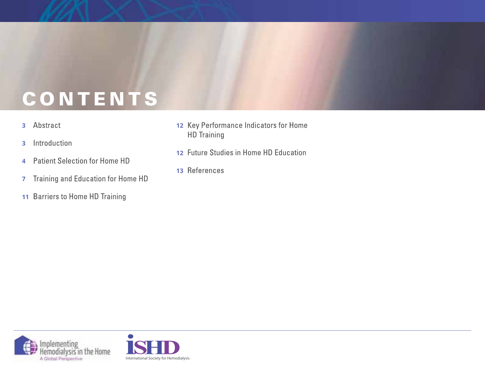# **CONTENTS**

Patient Selection

**3** Abstract

2

- Introduction **3**
- **Patient Selection for Home HD 4**
- Training and Education for Home HD **7**
- **11 Barriers to Home HD Training**
- **12 Key Performance Indicators for Home HD** Training
- **12 Future Studies in Home HD Education**
- **13**



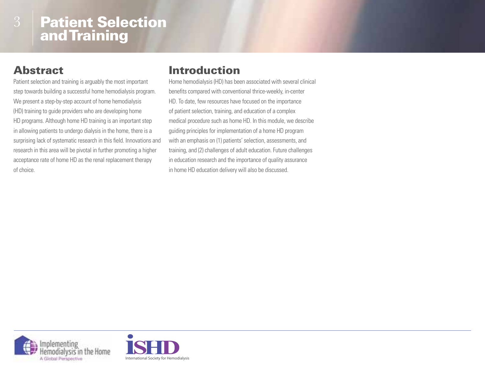### Abstract

3

Patient selection and training is arguably the most important step towards building a successful home hemodialysis program. We present a step-by-step account of home hemodialysis (HD) training to guide providers who are developing home HD programs. Although home HD training is an important step in allowing patients to undergo dialysis in the home, there is a surprising lack of systematic research in this field. Innovations and research in this area will be pivotal in further promoting a higher acceptance rate of home HD as the renal replacement therapy of choice.

### Introduction

Home hemodialysis (HD) has been associated with several clinical benefits compared with conventional thrice-weekly, in-center HD. To date, few resources have focused on the importance of patient selection, training, and education of a complex medical procedure such as home HD. In this module, we describe guiding principles for implementation of a home HD program with an emphasis on (1) patients' selection, assessments, and training, and (2) challenges of adult education. Future challenges in education research and the importance of quality assurance in home HD education delivery will also be discussed.

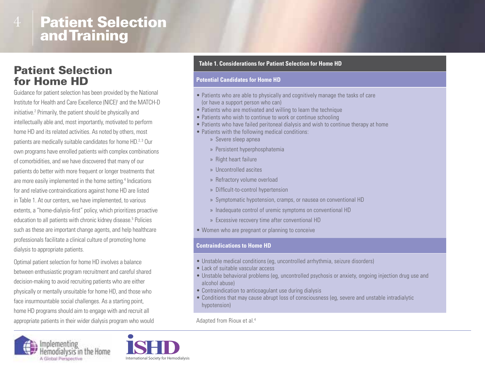### Patient Selection for Home HD

Guidance for patient selection has been provided by the National Institute for Health and Care Excellence (NICE)<sup>1</sup> and the MATCH-D initiative.<sup>2</sup> Primarily, the patient should be physically and intellectually able and, most importantly, motivated to perform home HD and its related activities. As noted by others, most patients are medically suitable candidates for home HD.<sup>2, 3</sup> Our own programs have enrolled patients with complex combinations of comorbidities, and we have discovered that many of our patients do better with more frequent or longer treatments that are more easily implemented in the home setting.<sup>4</sup> Indications for and relative contraindications against home HD are listed in Table 1. At our centers, we have implemented, to various extents, a "home-dialysis-first" policy, which prioritizes proactive education to all patients with chronic kidney disease.<sup>5</sup> Policies such as these are important change agents, and help healthcare professionals facilitate a clinical culture of promoting home dialysis to appropriate patients.

Optimal patient selection for home HD involves a balance between enthusiastic program recruitment and careful shared decision-making to avoid recruiting patients who are either physically or mentally unsuitable for home HD, and those who face insurmountable social challenges. As a starting point, home HD programs should aim to engage with and recruit all appropriate patients in their wider dialysis program who would

### ialysis in the Home Global Perspective



#### **Table 1. Considerations for Patient Selection for Home HD**

#### **Potential Candidates for Home HD**

- Patients who are able to physically and cognitively manage the tasks of care (or have a support person who can)
- Patients who are motivated and willing to learn the technique
- Patients who wish to continue to work or continue schooling
- Patients who have failed peritoneal dialysis and wish to continue therapy at home
- Patients with the following medical conditions:
	- » Severe sleep apnea
	- » Persistent hyperphosphatemia
	- » Right heart failure
	- » Uncontrolled ascites
	- » Refractory volume overload
	- » Difficult-to-control hypertension
	- » Symptomatic hypotension, cramps, or nausea on conventional HD
	- » Inadequate control of uremic symptoms on conventional HD
	- » Excessive recovery time after conventional HD
- Women who are pregnant or planning to conceive

#### **Contraindications to Home HD**

- Unstable medical conditions (eg, uncontrolled arrhythmia, seizure disorders)
- Lack of suitable vascular access
- Unstable behavioral problems (eg, uncontrolled psychosis or anxiety, ongoing injection drug use and alcohol abuse)
- Contraindication to anticoagulant use during dialysis
- Conditions that may cause abrupt loss of consciousness (eg, severe and unstable intradialytic hypotension)

Adapted from Rioux et al.4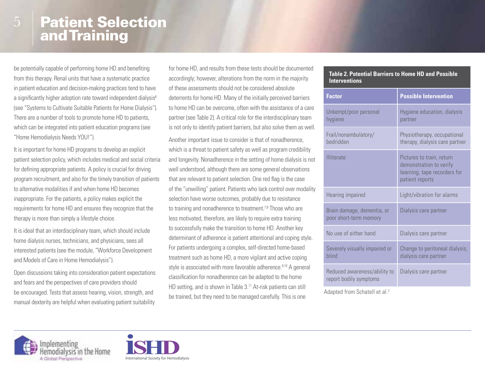5

be potentially capable of performing home HD and benefiting from this therapy. Renal units that have a systematic practice in patient education and decision-making practices tend to have a significantly higher adoption rate toward independent dialysis<sup>6</sup> (see "Systems to Cultivate Suitable Patients for Home Dialysis"). There are a number of tools to promote home HD to patients, which can be integrated into patient education programs (see "Home Hemodialysis Needs YOU!").

It is important for home HD programs to develop an explicit patient selection policy, which includes medical and social criteria for defining appropriate patients. A policy is crucial for driving program recruitment, and also for the timely transition of patients to alternative modalities if and when home HD becomes inappropriate. For the patients, a policy makes explicit the requirements for home HD and ensures they recognize that the therapy is more than simply a lifestyle choice.

It is ideal that an interdisciplinary team, which should include home dialysis nurses, technicians, and physicians, sees all interested patients (see the module, "Workforce Development and Models of Care in Home Hemodialysis").

Open discussions taking into consideration patient expectations and fears and the perspectives of care providers should be encouraged. Tests that assess hearing, vision, strength, and manual dexterity are helpful when evaluating patient suitability

for home HD, and results from these tests should be documented accordingly; however, alterations from the norm in the majority of these assessments should not be considered absolute deterrents for home HD. Many of the initially perceived barriers to home HD can be overcome, often with the assistance of a care partner (see Table 2). A critical role for the interdisciplinary team is not only to identify patient barriers, but also solve them as well.

Another important issue to consider is that of nonadherence, which is a threat to patient safety as well as program credibility and longevity. Nonadherence in the setting of home dialysis is not well understood, although there are some general observations that are relevant to patient selection. One red flag is the case of the "unwilling" patient. Patients who lack control over modality selection have worse outcomes, probably due to resistance to training and nonadherence to treatment.<sup>7,8</sup> Those who are less motivated, therefore, are likely to require extra training to successfully make the transition to home HD. Another key determinant of adherence is patient attentional and coping style. For patients undergoing a complex, self-directed home-based treatment such as home HD, a more vigilant and active coping style is associated with more favorable adherence.<sup>9,10</sup> A general classification for nonadherence can be adapted to the home HD setting, and is shown in Table 3.<sup>11</sup> At-risk patients can still be trained, but they need to be managed carefully. This is one

#### **Table 2. Potential Barriers to Home HD and Possible Interventions**

| <b>Factor</b>                                          | <b>Possible Intervention</b>                                                                            |
|--------------------------------------------------------|---------------------------------------------------------------------------------------------------------|
| Unkempt/poor personal<br>hygiene                       | Hygiene education, dialysis<br>partner                                                                  |
| Frail/nonambulatory/<br>hedridden                      | Physiotherapy, occupational<br>therapy, dialysis care partner                                           |
| <b>Illiterate</b>                                      | Pictures to train, return<br>demonstration to verify<br>learning, tape recorders for<br>patient reports |
| Hearing impaired                                       | Light/vibration for alarms                                                                              |
| Brain damage, dementia, or<br>poor short-term memory   | Dialysis care partner                                                                                   |
| No use of either hand                                  | Dialysis care partner                                                                                   |
| Severely visually impaired or<br><b>blind</b>          | Change to peritoneal dialysis,<br>dialysis care partner                                                 |
| Reduced awareness/ability to<br>report bodily symptoms | Dialysis care partner                                                                                   |

Adapted from Schatell et al.<sup>2</sup>



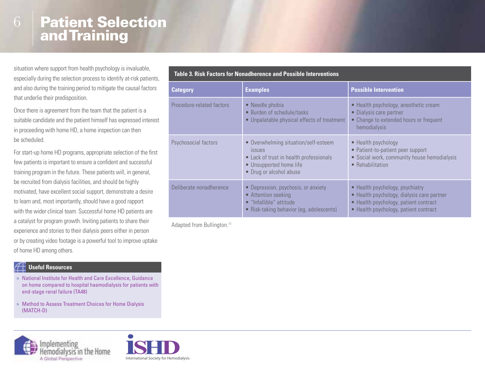situation where support from health psychology is invaluable, especially during the selection process to identify at-risk patients, and also during the training period to mitigate the causal factors that underlie their predisposition.

Once there is agreement from the team that the patient is a suitable candidate and the patient himself has expressed interest in proceeding with home HD, a home inspection can then be scheduled.

For start-up home HD programs, appropriate selection of the first few patients is important to ensure a confident and successful training program in the future. These patients will, in general, be recruited from dialysis facilities, and should be highly motivated, have excellent social support, demonstrate a desire to learn and, most importantly, should have a good rapport with the wider clinical team. Successful home HD patients are a catalyst for program growth. Inviting patients to share their experience and stories to their dialysis peers either in person or by creating video footage is a powerful tool to improve uptake of home HD among others.

#### **Useful Resources**

- » National Institute for Health and Care Excellence, Guidance on home compared to hospital haemodialysis for patients with end-stage renal failure (TA48)
- » Method to Assess Treatment Choices for Home Dialysis (MATCH-D)





| <b>Table 3. Risk Factors for Nonadherence and Possible Interventions</b> |                                                                                                                                                        |                                                                                                                                                                 |  |  |
|--------------------------------------------------------------------------|--------------------------------------------------------------------------------------------------------------------------------------------------------|-----------------------------------------------------------------------------------------------------------------------------------------------------------------|--|--|
| <b>Category</b>                                                          | <b>Examples</b>                                                                                                                                        | <b>Possible Intervention</b>                                                                                                                                    |  |  |
| Procedure-related factors                                                | • Needle phobia<br>• Burden of schedule/tasks<br>• Unpalatable physical effects of treatment                                                           | • Health psychology, anesthetic cream<br>• Dialysis care partner<br>Change to extended hours or frequent<br>hemodialysis                                        |  |  |
| Psychosocial factors                                                     | • Overwhelming situation/self-esteem<br><b>ISSUES</b><br>• Lack of trust in health professionals<br>• Unsupported home life<br>• Drug or alcohol abuse | • Health psychology<br>• Patient-to-patient peer support<br>• Social work, community house hemodialysis<br>• Rehabilitation                                     |  |  |
| Deliberate nonadherence                                                  | • Depression, psychosis, or anxiety<br>• Attention seeking<br>• "Infallible" attitude<br>• Risk-taking behavior (eg, adolescents)                      | • Health psychology, psychiatry<br>• Health psychology, dialysis care partner<br>• Health psychology, patient contract<br>• Health psychology, patient contract |  |  |

Adapted from Bullington.<sup>11</sup>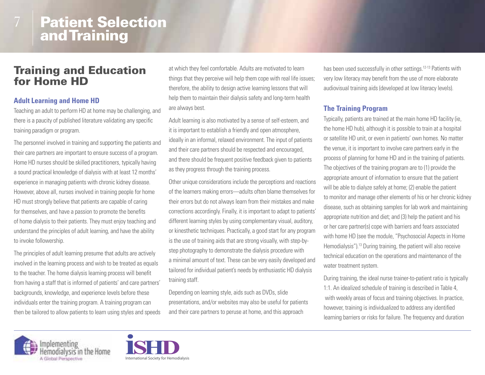### Training and Education for Home HD

#### **Adult Learning and Home HD**

Teaching an adult to perform HD at home may be challenging, and there is a paucity of published literature validating any specific training paradigm or program.

The personnel involved in training and supporting the patients and their care partners are important to ensure success of a program. Home HD nurses should be skilled practitioners, typically having a sound practical knowledge of dialysis with at least 12 months' experience in managing patients with chronic kidney disease. However, above all, nurses involved in training people for home HD must strongly believe that patients are capable of caring for themselves, and have a passion to promote the benefits of home dialysis to their patients. They must enjoy teaching and understand the principles of adult learning, and have the ability to invoke followership.

The principles of adult learning presume that adults are actively involved in the learning process and wish to be treated as equals to the teacher. The home dialysis learning process will benefit from having a staff that is informed of patients' and care partners' backgrounds, knowledge, and experience levels before these individuals enter the training program. A training program can then be tailored to allow patients to learn using styles and speeds

at which they feel comfortable. Adults are motivated to learn things that they perceive will help them cope with real life issues; therefore, the ability to design active learning lessons that will help them to maintain their dialysis safety and long-term health are always best.

Adult learning is also motivated by a sense of self-esteem, and it is important to establish a friendly and open atmosphere, ideally in an informal, relaxed environment. The input of patients and their care partners should be respected and encouraged, and there should be frequent positive feedback given to patients as they progress through the training process.

Other unique considerations include the perceptions and reactions of the learners making errors—adults often blame themselves for their errors but do not always learn from their mistakes and make corrections accordingly. Finally, it is important to adapt to patients' different learning styles by using complementary visual, auditory, or kinesthetic techniques. Practically, a good start for any program is the use of training aids that are strong visually, with step-bystep photography to demonstrate the dialysis procedure with a minimal amount of text. These can be very easily developed and tailored for individual patient's needs by enthusiastic HD dialysis training staff.

Depending on learning style, aids such as DVDs, slide presentations, and/or websites may also be useful for patients and their care partners to peruse at home, and this approach

has been used successfully in other settings.<sup>12-13</sup> Patients with very low literacy may benefit from the use of more elaborate audiovisual training aids (developed at low literacy levels).

#### **The Training Program**

Typically, patients are trained at the main home HD facility (ie, the home HD hub), although it is possible to train at a hospital or satellite HD unit, or even in patients' own homes. No matter the venue, it is important to involve care partners early in the process of planning for home HD and in the training of patients. The objectives of the training program are to (1) provide the appropriate amount of information to ensure that the patient will be able to dialyze safely at home; (2) enable the patient to monitor and manage other elements of his or her chronic kidney disease, such as obtaining samples for lab work and maintaining appropriate nutrition and diet; and (3) help the patient and his or her care partner(s) cope with barriers and fears associated with home HD (see the module, "Psychosocial Aspects in Home Hemodialysis").13 During training, the patient will also receive technical education on the operations and maintenance of the water treatment system.

During training, the ideal nurse trainer-to-patient ratio is typically 1:1. An idealized schedule of training is described in Table 4, with weekly areas of focus and training objectives. In practice, however, training is individualized to address any identified learning barriers or risks for failure. The frequency and duration



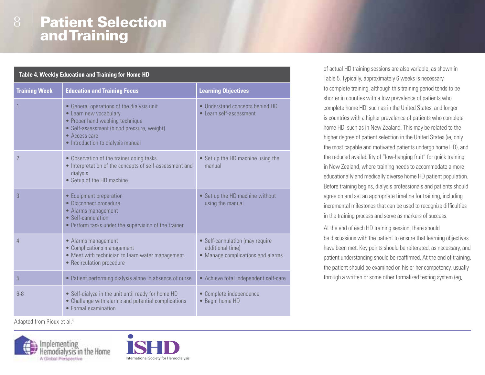8

| Table 4. Weekly Education and Training for Home HD |                                                                                                                                                                                                            |                                                                                          |  |  |
|----------------------------------------------------|------------------------------------------------------------------------------------------------------------------------------------------------------------------------------------------------------------|------------------------------------------------------------------------------------------|--|--|
| <b>Training Week</b>                               | <b>Education and Training Focus</b>                                                                                                                                                                        | <b>Learning Objectives</b>                                                               |  |  |
|                                                    | • General operations of the dialysis unit<br>• Learn new vocabulary<br>• Proper hand washing technique<br>• Self-assessment (blood pressure, weight)<br>• Access care<br>• Introduction to dialysis manual | • Understand concepts behind HD<br>• Learn self-assessment                               |  |  |
| $\overline{2}$                                     | • Observation of the trainer doing tasks<br>• Interpretation of the concepts of self-assessment and<br>dialysis<br>• Setup of the HD machine                                                               | • Set up the HD machine using the<br>manual                                              |  |  |
| 3                                                  | • Equipment preparation<br>• Disconnect procedure<br>• Alarms management<br>• Self-cannulation<br>• Perform tasks under the supervision of the trainer                                                     | • Set up the HD machine without<br>using the manual                                      |  |  |
| 4                                                  | • Alarms management<br>• Complications management<br>• Meet with technician to learn water management<br>• Recirculation procedure                                                                         | • Self-cannulation (may require<br>additional time)<br>• Manage complications and alarms |  |  |
| 5                                                  | • Patient performing dialysis alone in absence of nurse                                                                                                                                                    | • Achieve total independent self-care                                                    |  |  |
| $6 - 8$                                            | • Self-dialyze in the unit until ready for home HD<br>• Challenge with alarms and potential complications<br>• Formal examination                                                                          | • Complete independence<br>• Begin home HD                                               |  |  |

of actual HD training sessions are also variable, as shown in Table 5. Typically, approximately 6 weeks is necessary to complete training, although this training period tends to be shorter in counties with a low prevalence of patients who complete home HD, such as in the United States, and longer is countries with a higher prevalence of patients who complete home HD, such as in New Zealand. This may be related to the higher degree of patient selection in the United States (ie, only the most capable and motivated patients undergo home HD), and the reduced availability of "low-hanging fruit" for quick training in New Zealand, where training needs to accommodate a more educationally and medically diverse home HD patient population. Before training begins, dialysis professionals and patients should agree on and set an appropriate timeline for training, including incremental milestones that can be used to recognize difficulties in the training process and serve as markers of success.

At the end of each HD training session, there should be discussions with the patient to ensure that learning objectives have been met. Key points should be reiterated, as necessary, and patient understanding should be reaffirmed. At the end of training, the patient should be examined on his or her competency, usually through a written or some other formalized testing system (eg,

Adapted from Rioux et al.4



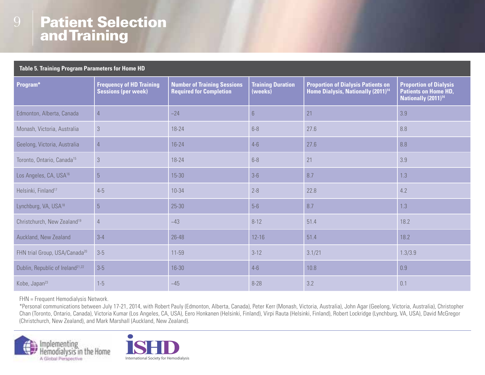#### **Table 5. Training Program Parameters for Home HD**

9

| Program <sup>*</sup>                         | <b>Frequency of HD Training</b><br><b>Sessions (per week)</b> | <b>Number of Training Sessions</b><br><b>Required for Completion</b> | <b>Training Duration</b><br>(weeks) | <b>Proportion of Dialysis Patients on</b><br>Home Dialysis, Nationally (2011) <sup>14</sup> | <b>Proportion of Dialysis</b><br><b>Patients on Home HD,</b><br>Nationally (2011) <sup>14</sup> |
|----------------------------------------------|---------------------------------------------------------------|----------------------------------------------------------------------|-------------------------------------|---------------------------------------------------------------------------------------------|-------------------------------------------------------------------------------------------------|
| Edmonton, Alberta, Canada                    | $\overline{4}$                                                | $-24$                                                                | $6\phantom{.}6$                     | 21                                                                                          | 3.9                                                                                             |
| Monash, Victoria, Australia                  | $\mathcal{S}$                                                 | 18-24                                                                | $6 - 8$                             | 27.6                                                                                        | 8.8                                                                                             |
| Geelong, Victoria, Australia                 | $\overline{4}$                                                | $16 - 24$                                                            | $4 - 6$                             | 27.6                                                                                        | 8.8                                                                                             |
| Toronto, Ontario, Canada <sup>15</sup>       | $\mathfrak{Z}$                                                | 18-24                                                                | $6 - 8$                             | 21                                                                                          | 3.9                                                                                             |
| Los Angeles, CA, USA <sup>16</sup>           | $5\overline{)}$                                               | $15 - 30$                                                            | $3-6$                               | 8.7                                                                                         | 1.3                                                                                             |
| Helsinki, Finland <sup>17</sup>              | $4 - 5$                                                       | $10 - 34$                                                            | $2 - 8$                             | 22.8                                                                                        | 4.2                                                                                             |
| Lynchburg, VA, USA <sup>18</sup>             | $5\phantom{.}$                                                | $25 - 30$                                                            | $5-6$                               | 8.7                                                                                         | 1.3                                                                                             |
| Christchurch, New Zealand <sup>19</sup>      | $\overline{4}$                                                | $-43$                                                                | $8 - 12$                            | 51.4                                                                                        | 18.2                                                                                            |
| Auckland, New Zealand                        | $3 - 4$                                                       | 26-48                                                                | $12 - 16$                           | 51.4                                                                                        | 18.2                                                                                            |
| FHN trial Group, USA/Canada <sup>20</sup>    | $3-5$                                                         | $11 - 59$                                                            | $3 - 12$                            | 3.1/21                                                                                      | 1.3/3.9                                                                                         |
| Dublin, Republic of Ireland <sup>21,22</sup> | $3-5$                                                         | $16 - 30$                                                            | $4 - 6$                             | 10.8                                                                                        | 0.9                                                                                             |
| Kobe, Japan <sup>23</sup>                    | $1 - 5$                                                       | $-45$                                                                | 8-28                                | 3.2                                                                                         | 0.1                                                                                             |

FHN = Frequent Hemodialysis Network.

\*Personal communications between July 17-21, 2014, with Robert Pauly (Edmonton, Alberta, Canada), Peter Kerr (Monash, Victoria, Australia), John Agar (Geelong, Victoria, Australia), Christopher Chan (Toronto, Ontario, Canada), Victoria Kumar (Los Angeles, CA, USA), Eero Honkanen (Helsinki, Finland), Virpi Rauta (Helsinki, Finland), Robert Lockridge (Lynchburg, VA, USA), David McGregor (Christchurch, New Zealand), and Mark Marshall (Auckland, New Zealand).



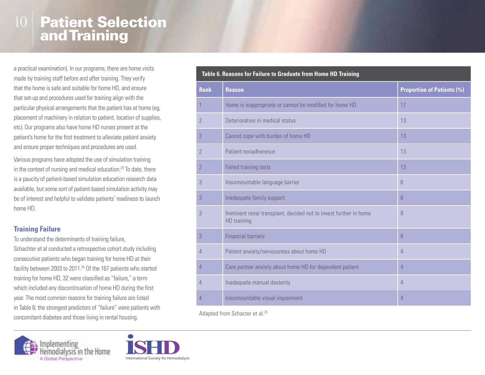a practical examination). In our programs, there are home visits made by training staff before and after training. They verify that the home is safe and suitable for home HD, and ensure that set-up and procedures used for training align with the particular physical arrangements that the patient has at home (eg, placement of machinery in relation to patient, location of supplies, etc). Our programs also have home HD nurses present at the patient's home for the first treatment to alleviate patient anxiety and ensure proper techniques and procedures are used.

Various programs have adopted the use of simulation training in the context of nursing and medical education. $24$  To date, there is a paucity of patient-based simulation education research data available, but some sort of patient-based simulation activity may be of interest and helpful to validate patients' readiness to launch home HD.

#### **Training Failure**

To understand the determinants of training failure, Schachter et al conducted a retrospective cohort study including consecutive patients who began training for home HD at their facility between 2003 to 2011.25 Of the 167 patients who started training for home HD, 32 were classified as "failure," a term which included any discontinuation of home HD during the first year. The most common reasons for training failure are listed in Table 6; the strongest predictors of "failure" were patients with concomitant diabetes and those living in rental housing.





| Table 6. Reasons for Failure to Graduate from Home HD Training |                                                                                 |                                   |  |
|----------------------------------------------------------------|---------------------------------------------------------------------------------|-----------------------------------|--|
| <b>Rank</b>                                                    | <b>Reason</b>                                                                   | <b>Proportion of Patients (%)</b> |  |
|                                                                | Home is inappropriate or cannot be modified for home HD                         | 17                                |  |
| $\overline{2}$                                                 | Deterioration in medical status                                                 | 13                                |  |
| 2                                                              | Cannot cope with burden of home HD                                              | 13                                |  |
| $\mathbf{2}$                                                   | Patient nonadherence                                                            | 13                                |  |
| $\overline{2}$                                                 | <b>Failed training tests</b>                                                    | 13                                |  |
| 3                                                              | Insurmountable language barrier                                                 | 8                                 |  |
| 3                                                              | Inadequate family support                                                       | 8                                 |  |
| 3                                                              | Imminent renal transplant, decided not to invest further in home<br>HD training | 8                                 |  |
| 3                                                              | <b>Financial barriers</b>                                                       | 8                                 |  |
| 4                                                              | Patient anxiety/nervousness about home HD                                       | $\overline{4}$                    |  |
| 4                                                              | Care partner anxiety about home HD for dependent patient                        | $\overline{4}$                    |  |
| 4                                                              | Inadequate manual dexterity                                                     | 4                                 |  |
| 4                                                              | Insurmountable visual impairment                                                | 4                                 |  |

Adapted from Schacter et al.25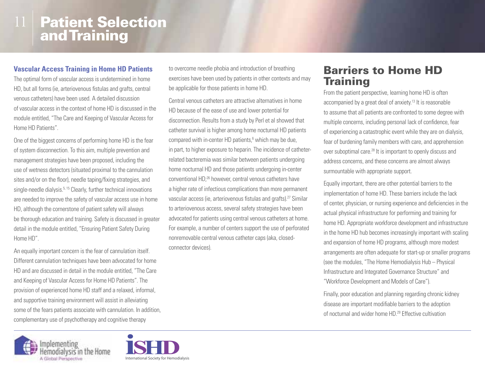#### **Vascular Access Training in Home HD Patients**

The optimal form of vascular access is undetermined in home HD, but all forms (ie, arteriovenous fistulas and grafts, central venous catheters) have been used. A detailed discussion of vascular access in the context of home HD is discussed in the module entitled, "The Care and Keeping of Vascular Access for Home HD Patients".

One of the biggest concerns of performing home HD is the fear of system disconnection. To this aim, multiple prevention and management strategies have been proposed, including the use of wetness detectors (situated proximal to the cannulation sites and/or on the floor), needle taping/fixing strategies, and single-needle dialysis.<sup>5, 15</sup> Clearly, further technical innovations are needed to improve the safety of vascular access use in home HD, although the cornerstone of patient safety will always be thorough education and training. Safety is discussed in greater detail in the module entitled, "Ensuring Patient Safety During Home HD".

An equally important concern is the fear of cannulation itself. Different cannulation techniques have been advocated for home HD and are discussed in detail in the module entitled, "The Care and Keeping of Vascular Access for Home HD Patients". The provision of experienced home HD staff and a relaxed, informal, and supportive training environment will assist in alleviating some of the fears patients associate with cannulation. In addition, complementary use of psychotherapy and cognitive therapy

sis in the Home shal Perspective



Central venous catheters are attractive alternatives in home HD because of the ease of use and lower potential for disconnection. Results from a study by Perl et al showed that catheter survival is higher among home nocturnal HD patients compared with in-center HD patients,<sup>6</sup> which may be due, in part, to higher exposure to heparin. The incidence of catheterrelated bacteremia was similar between patients undergoing home nocturnal HD and those patients undergoing in-center conventional HD;26 however, central venous catheters have a higher rate of infectious complications than more permanent vascular access (ie, arteriovenous fistulas and grafts).<sup>27</sup> Similar to arteriovenous access, several safety strategies have been advocated for patients using central venous catheters at home. For example, a number of centers support the use of perforated nonremovable central venous catheter caps (aka, closedconnector devices).

### Barriers to Home HD **Training**

From the patient perspective, learning home HD is often accompanied by a great deal of anxiety.13 It is reasonable to assume that all patients are confronted to some degree with multiple concerns, including personal lack of confidence, fear of experiencing a catastrophic event while they are on dialysis, fear of burdening family members with care, and apprehension over suboptimal care.<sup>28</sup> It is important to openly discuss and address concerns, and these concerns are almost always surmountable with appropriate support.

Equally important, there are other potential barriers to the implementation of home HD. These barriers include the lack of center, physician, or nursing experience and deficiencies in the actual physical infrastructure for performing and training for home HD. Appropriate workforce development and infrastructure in the home HD hub becomes increasingly important with scaling and expansion of home HD programs, although more modest arrangements are often adequate for start-up or smaller programs (see the modules, "The Home Hemodialysis Hub – Physical Infrastructure and Integrated Governance Structure" and "Workforce Development and Models of Care").

Finally, poor education and planning regarding chronic kidney disease are important modifiable barriers to the adoption of nocturnal and wider home HD.29 Effective cultivation

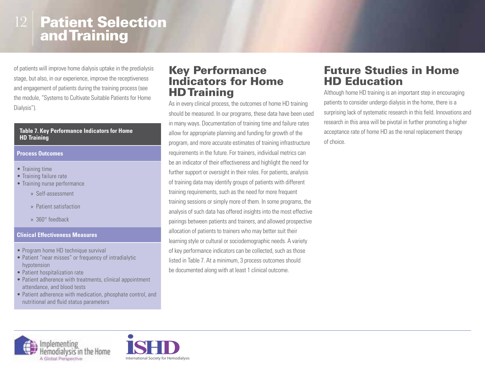of patients will improve home dialysis uptake in the predialysis stage, but also, in our experience, improve the receptiveness and engagement of patients during the training process (see the module, "Systems to Cultivate Suitable Patients for Home Dialysis").

#### **Table 7. Key Performance Indicators for Home HD Training**

#### **Process Outcomes**

- Training time
- Training failure rate
- Training nurse performance
	- » Self-assessment
	- » Patient satisfaction
	- » 360° feedback

#### **Clinical Effectiveness Measures**

- Program home HD technique survival
- Patient "near misses" or frequency of intradialytic hypotension
- Patient hospitalization rate
- Patient adherence with treatments, clinical appointment attendance, and blood tests
- Patient adherence with medication, phosphate control, and nutritional and fluid status parameters

### Key Performance Indicators for Home HD Training

As in every clinical process, the outcomes of home HD training should be measured. In our programs, these data have been used in many ways. Documentation of training time and failure rates allow for appropriate planning and funding for growth of the program, and more accurate estimates of training infrastructure requirements in the future. For trainers, individual metrics can be an indicator of their effectiveness and highlight the need for further support or oversight in their roles. For patients, analysis of training data may identify groups of patients with different training requirements, such as the need for more frequent training sessions or simply more of them. In some programs, the analysis of such data has offered insights into the most effective pairings between patients and trainers, and allowed prospective allocation of patients to trainers who may better suit their learning style or cultural or sociodemographic needs. A variety of key performance indicators can be collected, such as those listed in Table 7. At a minimum, 3 process outcomes should be documented along with at least 1 clinical outcome.

### Future Studies in Home HD Education

Although home HD training is an important step in encouraging patients to consider undergo dialysis in the home, there is a surprising lack of systematic research in this field. Innovations and research in this area will be pivotal in further promoting a higher acceptance rate of home HD as the renal replacement therapy of choice.



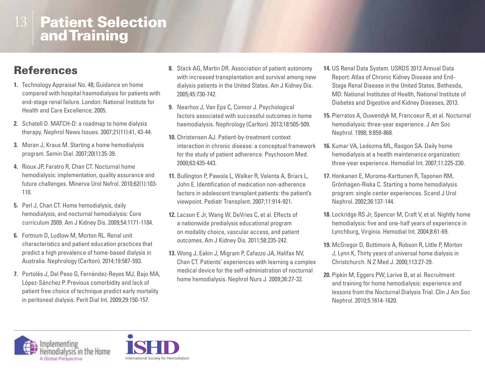## **References**

- **1.** Technology Appraisal No. 48; Guidance on home compared with hospital haemodialysis for patients with end-stage renal failure. London: National Institute for Health and Care Excellence; 2005.
- **2.** Schatell D. MATCH-D: a roadmap to home dialysis therapy. Nephrol News Issues. 2007;21(11):41, 43-44.
- **3.** Moran J, Kraus M. Starting a home hemodialysis program. Semin Dial. 2007;20(1):35-39.
- **4.** Rioux JP, Faratro R, Chan CT. Nocturnal home hemodialysis: implementation, quality assurance and future challenges. Minerva Urol Nefrol. 2010;62(1):103- 110.
- **5.** Perl J, Chan CT. Home hemodialysis, daily hemodialysis, and nocturnal hemodialysis: Core curriculum 2009. Am J Kidney Dis. 2009;54:1171-1184.
- **6.** Fortnum D, Ludlow M, Morton RL. Renal unit characteristics and patient education practices that predict a high prevalence of home-based dialysis in Australia. Nephrology (Carlton). 2014;19:587-593.
- **7.** Portolés J, Del Peso G, Fernández-Reyes MJ, Bajo MA, López-Sánchez P. Previous comorbidity and lack of patient free choice of technique predict early mortality in peritoneal dialysis. Perit Dial Int. 2009;29:150-157.
- **8.** Stack AG, Martin DR. Association of patient autonomy with increased transplantation and survival among new dialysis patients in the United States. Am J Kidney Dis. 2005;45:730-742.
- **9.** Nearhos J, Van Eps C, Connor J. Psychological factors associated with successful outcomes in home haemodialysis. Nephrology (Carlton). 2013;18:505-509.
- **10.** Christensen AJ. Patient-by-treatment context interaction in chronic disease: a conceptual framework for the study of patient adherence. Psychosom Med. 2000;63:435-443.
- **11.** Bullington P, Pawola L, Walker R, Valenta A, Briars L, John E. Identification of medication non-adherence factors in adolescent transplant patients: the patient's viewpoint. Pediatr Transplant. 2007;11:914-921.
- **12.** Lacson E Jr, Wang W, DeVries C, et al. Effects of a nationwide predialysis educational program on modality choice, vascular access, and patient outcomes. Am J Kidney Dis. 2011;58:235-242.
- **13.** Wong J, Eakin J, Migram P, Cafazzo JA, Halifax NV, Chan CT. Patients' experiences with learning a complex medical device for the self-administration of nocturnal home hemodialysis. Nephrol Nurs J. 2009;36:27-32.
- **14.** US Renal Data System. USRDS 2013 Annual Data Report: Atlas of Chronic Kidney Disease and End-Stage Renal Disease in the United States. Bethesda, MD: National Institutes of Health, National Institute of Diabetes and Digestive and Kidney Diseases, 2013.
- **15.** Pierratos A, Ouwendyk M, Francoeur R, et al. Nocturnal hemodialysis: three-year experience. J Am Soc Nephrol. 1998; 9:859-868.
- **16.** Kumar VA, Ledezma ML, Rasgon SA. Daily home hemodialysis at a health maintenance organization: three-year experience. Hemodial Int. 2007;11:225-230.
- **17.** Honkanen E, Muroma-Karttunen R, Taponen RM, Grönhagen-Riska C. Starting a home hemodialysis program: single center experiences. Scand J Urol Nephrol. 2002;36:137-144.
- **18.** Lockridge RS Jr, Spencer M, Craft V, et al. Nightly home hemodialysis: five and one-half years of experience in Lynchburg, Virginia. Hemodial Int. 2004;8:61-69.
- **19.** McGregor D, Buttimore A, Robson R, Little P, Morton J, Lynn K, Thirty years of universal home dialysis in Christchurch. N Z Med J. 2000;113:27-29.
- **20.** Pipkin M, Eggers PW, Larive B, et al. Recruitment and training for home hemodialysis: experience and lessons from the Nocturnal Dialysis Trial. Clin J Am Soc Nephrol. 2010;5:1614-1620.